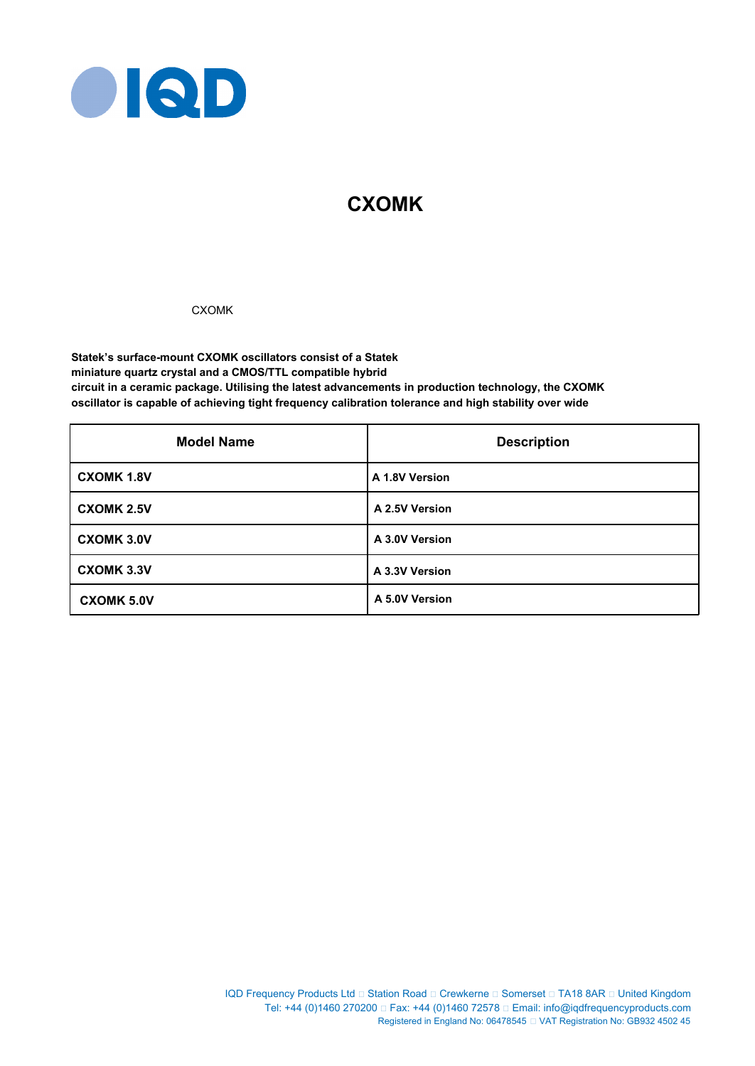

# **CXOMK**

# CXOMK

**Statek's surface-mount CXOMK oscillators consist of a Statek miniature quartz crystal and a CMOS/TTL compatible hybrid circuit in a ceramic package. Utilising the latest advancements in production technology, the CXOMK oscillator is capable of achieving tight frequency calibration tolerance and high stability over wide** 

| <b>Model Name</b> | <b>Description</b> |
|-------------------|--------------------|
| <b>CXOMK 1.8V</b> | A 1.8V Version     |
| <b>CXOMK 2.5V</b> | A 2.5V Version     |
| <b>CXOMK 3.0V</b> | A 3.0V Version     |
| <b>CXOMK 3.3V</b> | A 3.3V Version     |
| <b>CXOMK 5.0V</b> | A 5.0V Version     |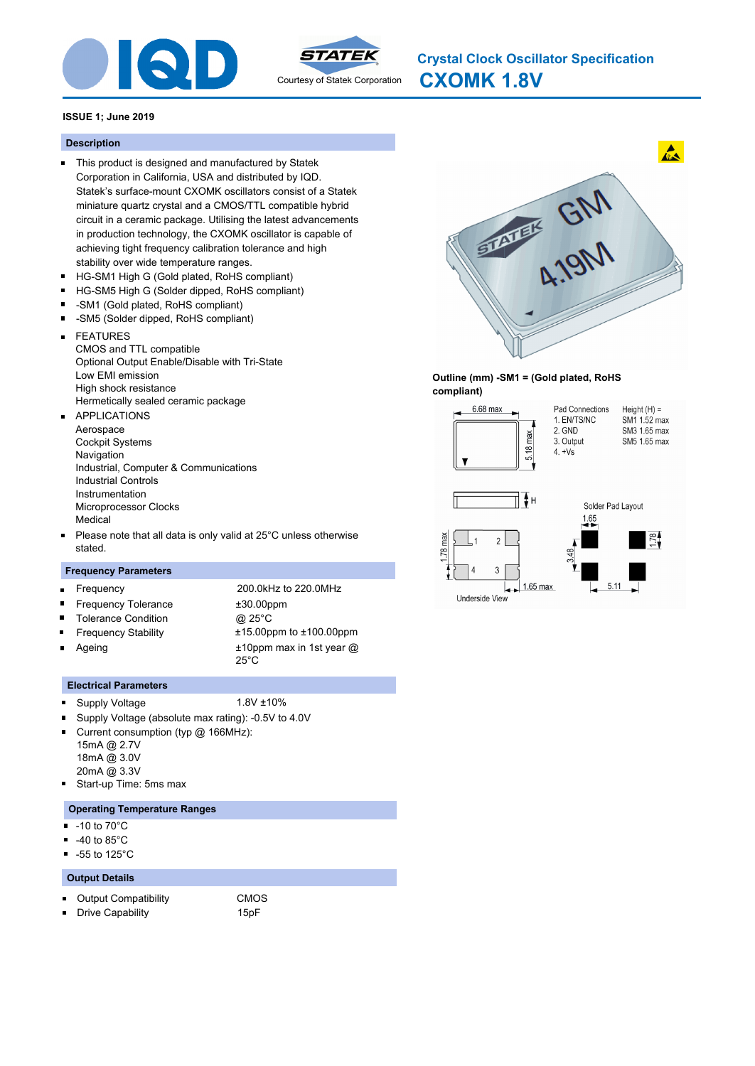



**CXOMK 1.8V Crystal Clock Oscillator Specification**

## **ISSUE 1; June 2019**

#### **Description**

- This product is designed and manufactured by Statek Corporation in California, USA and distributed by IQD. Statek's surface-mount CXOMK oscillators consist of a Statek miniature quartz crystal and a CMOS/TTL compatible hybrid circuit in a ceramic package. Utilising the latest advancements in production technology, the CXOMK oscillator is capable of achieving tight frequency calibration tolerance and high stability over wide temperature ranges.
- $\blacksquare$ HG-SM1 High G (Gold plated, RoHS compliant)
- $\blacksquare$ HG-SM5 High G (Solder dipped, RoHS compliant)
- -SM1 (Gold plated, RoHS compliant)  $\blacksquare$
- $\blacksquare$ -SM5 (Solder dipped, RoHS compliant)
- FEATURES  $\blacksquare$ CMOS and TTL compatible Optional Output Enable/Disable with Tri-State Low EMI emission High shock resistance Hermetically sealed ceramic package
- APPLICATIONS Aerospace Cockpit Systems **Navigation** Industrial, Computer & Communications Industrial Controls Instrumentation Microprocessor Clocks Medical
- Please note that all data is only valid at 25°C unless otherwise  $\blacksquare$ stated.

#### **Frequency Parameters**

 $\blacksquare$ 

 $\blacksquare$  $\blacksquare$  $\blacksquare$  Frequency 200.0kHz to 220.0MHz Frequency Tolerance  $\pm 30.00$ ppm Tolerance Condition @ 25°C Frequency Stability ±15.00ppm to ±100.00ppm ±10ppm max in 1st year @

25°C

- Ageing
- **Electrical Parameters**
- Supply Voltage 1.8V ±10%  $\blacksquare$ 
	-
- Supply Voltage (absolute max rating): -0.5V to 4.0V
- $\blacksquare$ Current consumption (typ @ 166MHz): 15mA @ 2.7V 18mA @ 3.0V 20mA @ 3.3V
- n, Start-up Time: 5ms max

#### **Operating Temperature Ranges**

- -10 to 70°C
- -40 to 85°C  $\blacksquare$
- $\blacksquare$ -55 to 125°C

#### **Output Details**

 $\blacksquare$ 

- Output Compatibility CMOS  $\blacksquare$ 
	-
	- Drive Capability 15pF
- -



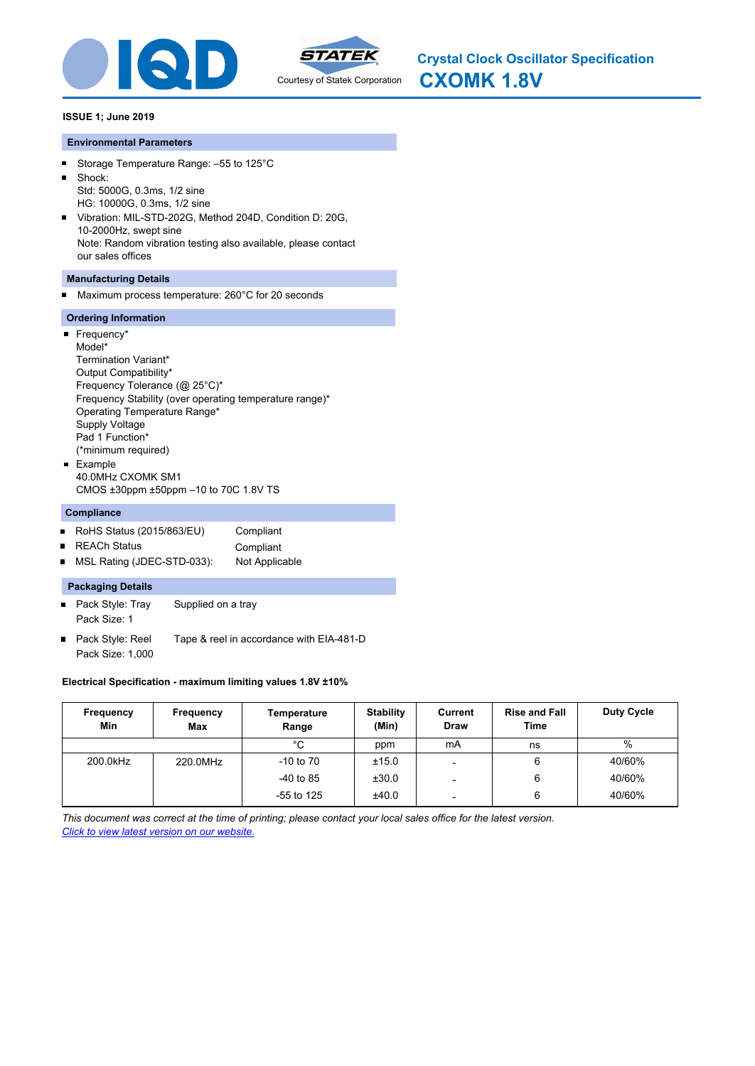



#### **Environmental Parameters**

- Storage Temperature Range: –55 to 125°C  $\blacksquare$
- $\blacksquare$ Shock: Std: 5000G, 0.3ms, 1/2 sine HG: 10000G, 0.3ms, 1/2 sine
- Vibration: MIL-STD-202G, Method 204D, Condition D: 20G,  $\blacksquare$ 10-2000Hz, swept sine Note: Random vibration testing also available, please contact our sales offices

## **Manufacturing Details**

Maximum process temperature: 260°C for 20 seconds

# **Ordering Information**

 $\blacksquare$ 

| Frequency*                                              |
|---------------------------------------------------------|
| Model*                                                  |
| Termination Variant*                                    |
| Output Compatibility*                                   |
| Frequency Tolerance (@ 25°C)*                           |
| Frequency Stability (over operating temperature range)* |
| Operating Temperature Range*                            |
| Supply Voltage                                          |
| Pad 1 Function*                                         |
| (*minimum required)                                     |
| Example                                                 |
| 40 0MHz CXOMK SM1                                       |
| CMOS $\pm 30$ ppm $\pm 50$ ppm $-10$ to 70C 1.8V TS     |

## **Compliance**

- RoHS Status (2015/863/EU) Compliant
- REACh Status Compliant
- $\blacksquare$ MSL Rating (JDEC-STD-033): Not Applicable

## **Packaging Details**

- Pack Style: Tray Supplied on a tray Pack Size: 1
- Pack Style: Reel Tape & reel in accordance with EIA-481-D  $\blacksquare$ Pack Size: 1,000

## **Electrical Specification - maximum limiting values 1.8V ±10%**

| Frequency<br>Min | Frequency<br>Max | Temperature<br>Range | <b>Stability</b><br>(Min) | Current<br>Draw          | <b>Rise and Fall</b><br>Time | <b>Duty Cycle</b> |
|------------------|------------------|----------------------|---------------------------|--------------------------|------------------------------|-------------------|
|                  |                  | °C                   | ppm                       | mA                       | ns                           | %                 |
| 200.0kHz         | 220.0MHz         | $-10$ to $70$        | ±15.0                     |                          | 6                            | 40/60%            |
|                  |                  | $-40$ to 85          | ±30.0                     |                          | 6                            | 40/60%            |
|                  |                  | $-55$ to 125         | ±40.0                     | $\overline{\phantom{0}}$ | 6                            | 40/60%            |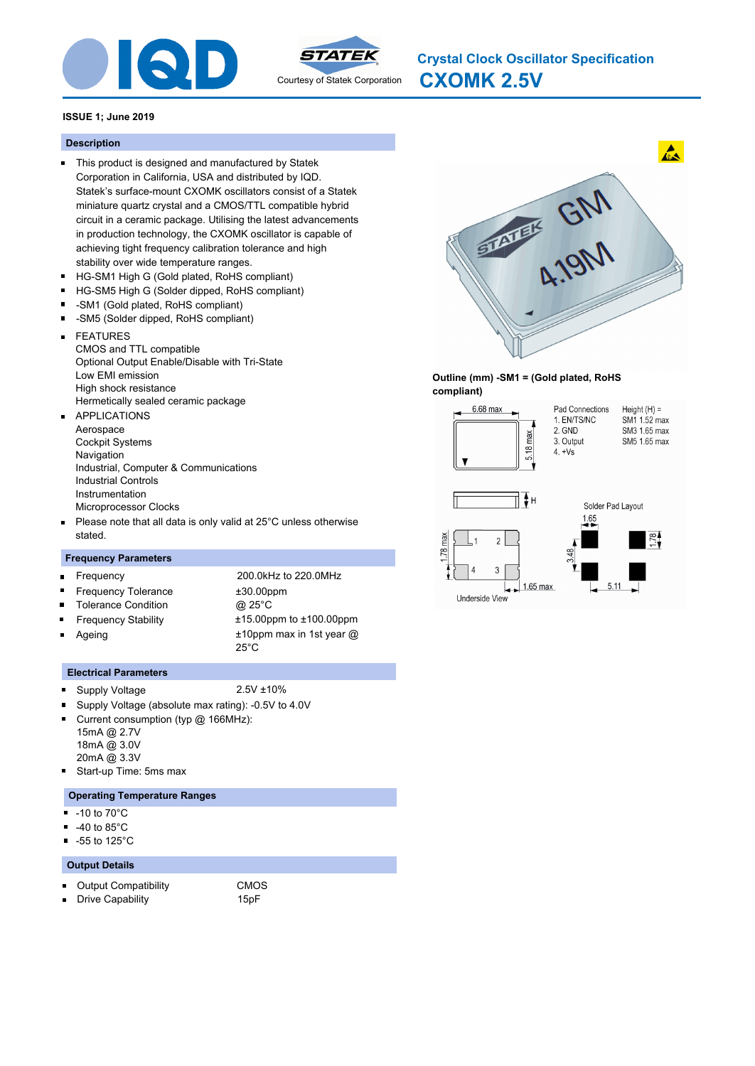



**CXOMK 2.5V Crystal Clock Oscillator Specification**

## **ISSUE 1; June 2019**

#### **Description**

- This product is designed and manufactured by Statek Corporation in California, USA and distributed by IQD. Statek's surface-mount CXOMK oscillators consist of a Statek miniature quartz crystal and a CMOS/TTL compatible hybrid circuit in a ceramic package. Utilising the latest advancements in production technology, the CXOMK oscillator is capable of achieving tight frequency calibration tolerance and high stability over wide temperature ranges.
- $\blacksquare$ HG-SM1 High G (Gold plated, RoHS compliant)
- $\blacksquare$ HG-SM5 High G (Solder dipped, RoHS compliant)
- -SM1 (Gold plated, RoHS compliant)  $\blacksquare$
- $\blacksquare$ -SM5 (Solder dipped, RoHS compliant)
- FEATURES  $\blacksquare$ CMOS and TTL compatible Optional Output Enable/Disable with Tri-State Low EMI emission High shock resistance Hermetically sealed ceramic package
- APPLICATIONS m. Aerospace Cockpit Systems **Navigation** Industrial, Computer & Communications Industrial Controls Instrumentation Microprocessor Clocks
- Please note that all data is only valid at 25°C unless otherwise  $\blacksquare$ stated.

## **Frequency Parameters**

|                | <b>E</b> requency          | 200.0kHz to 220.0MHz                            |
|----------------|----------------------------|-------------------------------------------------|
|                | <b>Frequency Tolerance</b> | $±30.00$ ppm                                    |
|                | " Tolerance Condition      | @ 25°C                                          |
|                | <b>Frequency Stability</b> | $±15.00$ ppm to $±100.00$ ppm                   |
| $\blacksquare$ | Ageing                     | $±10$ ppm max in 1st year $@$<br>$25^{\circ}$ C |

#### **Electrical Parameters**

- Supply Voltage 2.5V ±10%  $\blacksquare$
- Supply Voltage (absolute max rating): -0.5V to 4.0V  $\blacksquare$
- Current consumption (typ @ 166MHz):  $\blacksquare$ 15mA @ 2.7V 18mA @ 3.0V
	- 20mA @ 3.3V
- $\blacksquare$ Start-up Time: 5ms max

#### **Operating Temperature Ranges**

- -10 to 70°C  $\blacksquare$
- $\blacksquare$ -40 to 85°C
- $\blacksquare$ -55 to 125°C

#### **Output Details**

- Output Compatibility CMOS
- Drive Capability **15pF**  $\blacksquare$



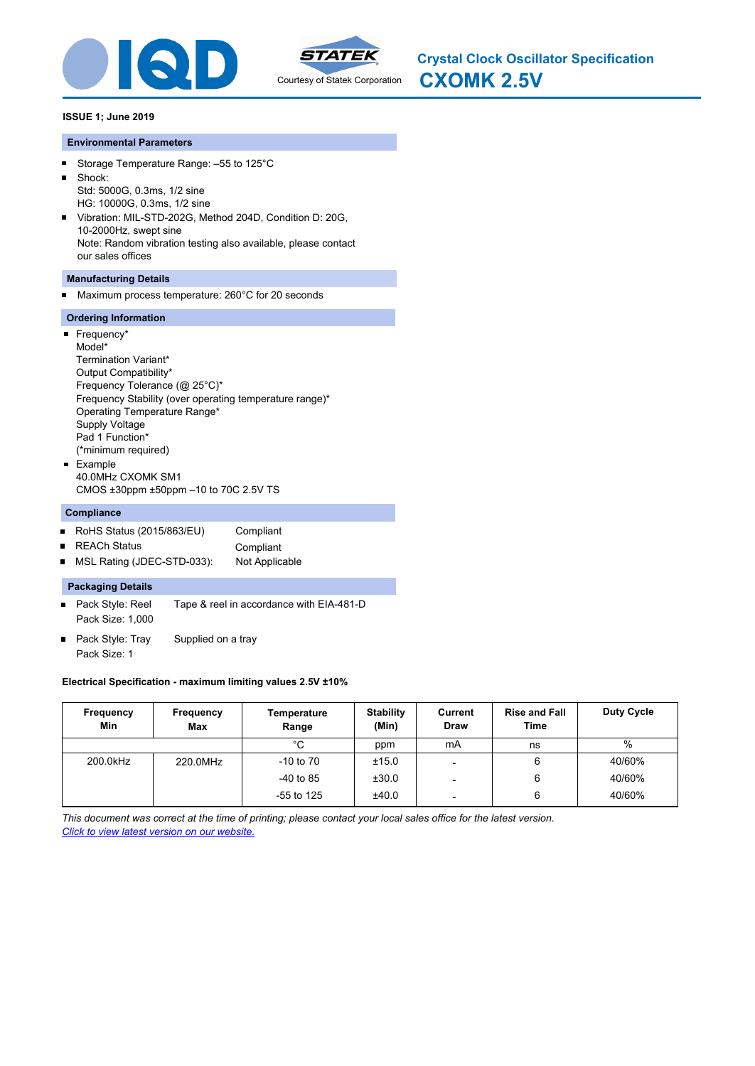



#### **Environmental Parameters**

- Storage Temperature Range: –55 to 125°C  $\blacksquare$
- $\blacksquare$ Shock: Std: 5000G, 0.3ms, 1/2 sine
- HG: 10000G, 0.3ms, 1/2 sine
- Vibration: MIL-STD-202G, Method 204D, Condition D: 20G,  $\blacksquare$ 10-2000Hz, swept sine Note: Random vibration testing also available, please contact our sales offices

## **Manufacturing Details**

Maximum process temperature: 260°C for 20 seconds

#### **Ordering Information**

 $\blacksquare$ 

| Frequency*                                              |
|---------------------------------------------------------|
| Model*                                                  |
| Termination Variant*                                    |
| Output Compatibility*                                   |
| Frequency Tolerance (@ 25°C)*                           |
| Frequency Stability (over operating temperature range)* |
| Operating Temperature Range*                            |
| Supply Voltage                                          |
| Pad 1 Function*                                         |
| (*minimum required)                                     |
| Example                                                 |
| 40 0MHz CXOMK SM1                                       |
| CMOS $\pm 30$ ppm $\pm 50$ ppm $-10$ to 70C 2.5V TS     |

## **Compliance**

- RoHS Status (2015/863/EU) Compliant
- REACh Status **Compliant**  $\blacksquare$
- $\blacksquare$ MSL Rating (JDEC-STD-033): Not Applicable

#### **Packaging Details**

- Pack Style: Reel Tape & reel in accordance with EIA-481-D Pack Size: 1,000
- Pack Style: Tray Supplied on a tray  $\blacksquare$ Pack Size: 1

## **Electrical Specification - maximum limiting values 2.5V ±10%**

| Frequency<br>Min | Frequency<br>Max | Temperature<br>Range | <b>Stability</b><br>(Min) | Current<br><b>Draw</b>   | <b>Rise and Fall</b><br><b>Time</b> | <b>Duty Cycle</b> |
|------------------|------------------|----------------------|---------------------------|--------------------------|-------------------------------------|-------------------|
|                  |                  | °C                   | ppm                       | mA                       | ns                                  | $\%$              |
| 200.0kHz         | 220.0MHz         | $-10$ to $70$        | ±15.0                     |                          | 6                                   | 40/60%            |
|                  |                  | $-40$ to 85          | ±30.0                     | -                        | 6                                   | 40/60%            |
|                  |                  | $-55$ to 125         | ±40.0                     | $\overline{\phantom{a}}$ | 6                                   | 40/60%            |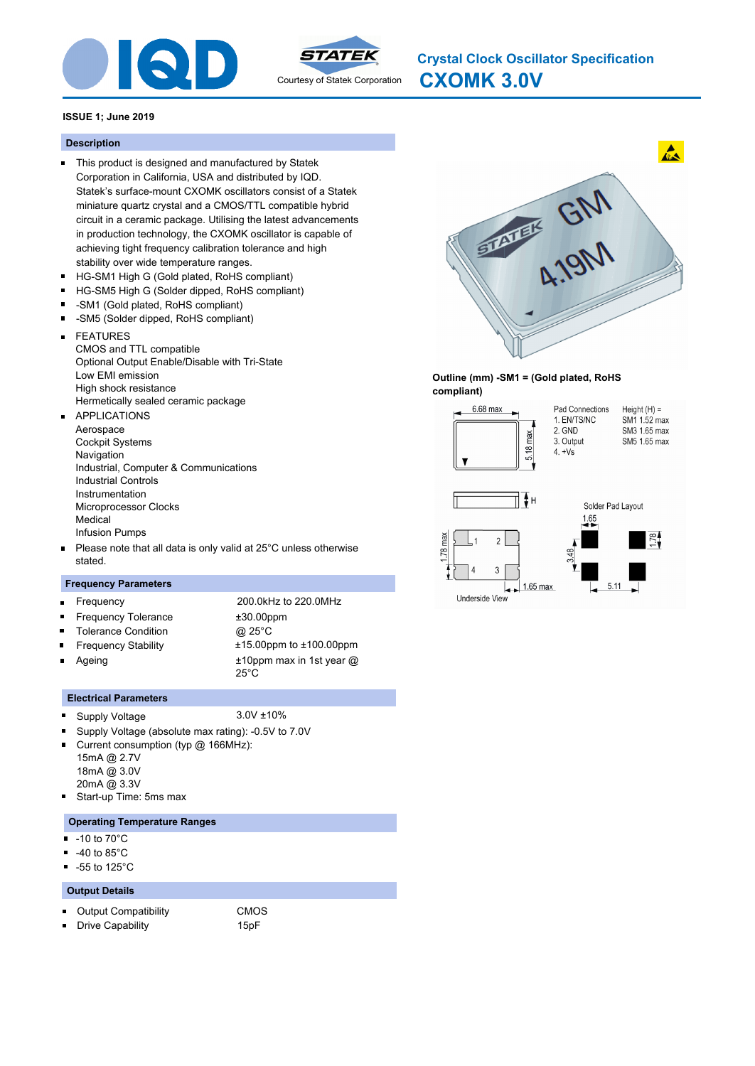



**CXOMK 3.0V Crystal Clock Oscillator Specification**

## **ISSUE 1; June 2019**

#### **Description**

- This product is designed and manufactured by Statek Corporation in California, USA and distributed by IQD. Statek's surface-mount CXOMK oscillators consist of a Statek miniature quartz crystal and a CMOS/TTL compatible hybrid circuit in a ceramic package. Utilising the latest advancements in production technology, the CXOMK oscillator is capable of achieving tight frequency calibration tolerance and high stability over wide temperature ranges.
- $\blacksquare$ HG-SM1 High G (Gold plated, RoHS compliant)
- $\blacksquare$ HG-SM5 High G (Solder dipped, RoHS compliant)
- -SM1 (Gold plated, RoHS compliant)  $\blacksquare$
- $\blacksquare$ -SM5 (Solder dipped, RoHS compliant)
- FEATURES  $\blacksquare$ CMOS and TTL compatible Optional Output Enable/Disable with Tri-State Low EMI emission High shock resistance Hermetically sealed ceramic package
- APPLICATIONS m. Aerospace Cockpit Systems **Navigation** Industrial, Computer & Communications Industrial Controls Instrumentation Microprocessor Clocks Medical Infusion Pumps
- Please note that all data is only valid at 25°C unless otherwise stated.

#### **Frequency Parameters**

| $\blacksquare$ | Frequency                  | 200.0kHz to 220.0MHz                            |
|----------------|----------------------------|-------------------------------------------------|
|                | ■ Frequency Tolerance      | $±30.00$ ppm                                    |
| $\blacksquare$ | <b>Tolerance Condition</b> | @ 25°C                                          |
| $\blacksquare$ | <b>Frequency Stability</b> | $±15.00$ ppm to $±100.00$ ppm                   |
|                | Ageing                     | $±10$ ppm max in 1st year $@$<br>$25^{\circ}$ C |

#### **Electrical Parameters**

- Supply Voltage 3.0V ±10%  $\blacksquare$
- $\blacksquare$ Supply Voltage (absolute max rating): -0.5V to 7.0V
- o. Current consumption (typ @ 166MHz): 15mA @ 2.7V 18mA @ 3.0V
- 20mA @ 3.3V
- . Start-up Time: 5ms max

## **Operating Temperature Ranges**

- -10 to 70°C  $\blacksquare$
- -40 to 85°C  $\blacksquare$
- -55 to 125°C  $\blacksquare$

#### **Output Details**

 $\blacksquare$ 

- $\blacksquare$ Output Compatibility CMOS
	-





 $\mathbf{A}$ 

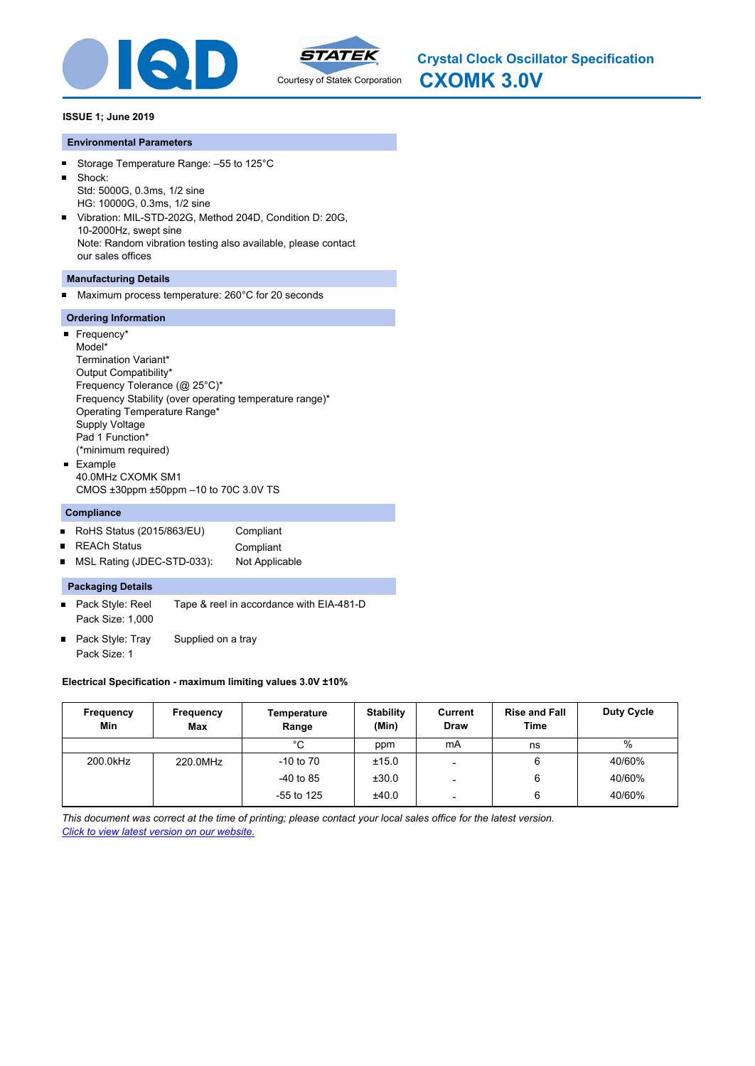



#### **Environmental Parameters**

- Storage Temperature Range: –55 to 125°C  $\blacksquare$
- $\blacksquare$ Shock: Std: 5000G, 0.3ms, 1/2 sine
- HG: 10000G, 0.3ms, 1/2 sine
- Vibration: MIL-STD-202G, Method 204D, Condition D: 20G,  $\blacksquare$ 10-2000Hz, swept sine Note: Random vibration testing also available, please contact our sales offices

## **Manufacturing Details**

Maximum process temperature: 260°C for 20 seconds

#### **Ordering Information**

 $\blacksquare$ 

| Frequency*                                              |
|---------------------------------------------------------|
| Model*                                                  |
| Termination Variant*                                    |
| Output Compatibility*                                   |
| Frequency Tolerance (@ 25°C)*                           |
| Frequency Stability (over operating temperature range)* |
| Operating Temperature Range*                            |
| <b>Supply Voltage</b>                                   |
| Pad 1 Function*                                         |
| (*minimum required)                                     |
| Example                                                 |
| 40 0MHz CXOMK SM1                                       |
| CMOS $\pm 30$ ppm $\pm 50$ ppm $-10$ to 70C 3.0V TS     |

## **Compliance**

- RoHS Status (2015/863/EU) Compliant
- REACh Status **Compliant**  $\blacksquare$
- $\blacksquare$ MSL Rating (JDEC-STD-033): Not Applicable

#### **Packaging Details**

- Pack Style: Reel Tape & reel in accordance with EIA-481-D Pack Size: 1,000
- Pack Style: Tray Supplied on a tray  $\blacksquare$ Pack Size: 1

## **Electrical Specification - maximum limiting values 3.0V ±10%**

| Frequency<br>Min | Frequency<br>Max | Temperature<br>Range | <b>Stability</b><br>(Min) | Current<br><b>Draw</b>   | <b>Rise and Fall</b><br><b>Time</b> | <b>Duty Cycle</b> |
|------------------|------------------|----------------------|---------------------------|--------------------------|-------------------------------------|-------------------|
|                  |                  | °C                   | ppm                       | mA                       | ns                                  | $\%$              |
| 200.0kHz         | 220.0MHz         | $-10$ to $70$        | ±15.0                     |                          | 6                                   | 40/60%            |
|                  |                  | $-40$ to 85          | ±30.0                     | -                        | 6                                   | 40/60%            |
|                  |                  | $-55$ to 125         | ±40.0                     | $\overline{\phantom{a}}$ | 6                                   | 40/60%            |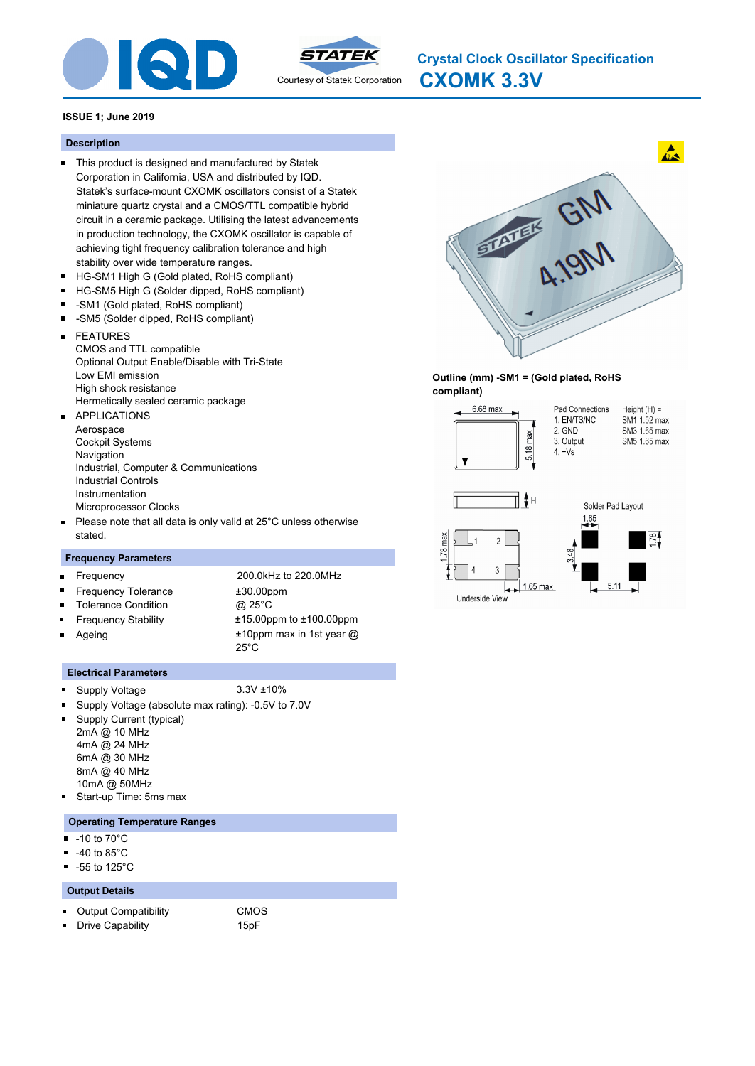



**CXOMK 3.3V Crystal Clock Oscillator Specification**

## **ISSUE 1; June 2019**

#### **Description**

- This product is designed and manufactured by Statek Corporation in California, USA and distributed by IQD. Statek's surface-mount CXOMK oscillators consist of a Statek miniature quartz crystal and a CMOS/TTL compatible hybrid circuit in a ceramic package. Utilising the latest advancements in production technology, the CXOMK oscillator is capable of achieving tight frequency calibration tolerance and high stability over wide temperature ranges.
- $\blacksquare$ HG-SM1 High G (Gold plated, RoHS compliant)
- $\blacksquare$ HG-SM5 High G (Solder dipped, RoHS compliant)
- -SM1 (Gold plated, RoHS compliant)  $\blacksquare$
- $\blacksquare$ -SM5 (Solder dipped, RoHS compliant)
- FEATURES  $\blacksquare$ CMOS and TTL compatible Optional Output Enable/Disable with Tri-State Low EMI emission High shock resistance Hermetically sealed ceramic package
- APPLICATIONS m. Aerospace Cockpit Systems **Navigation** Industrial, Computer & Communications Industrial Controls Instrumentation Microprocessor Clocks
- Please note that all data is only valid at 25°C unless otherwise  $\blacksquare$ stated.

## **Frequency Parameters**

| $\blacksquare$ | Frequency                  | 200.0kHz to 220.0MHz                          |
|----------------|----------------------------|-----------------------------------------------|
|                | ■ Frequency Tolerance      | $±30.00$ ppm                                  |
|                | <b>Tolerance Condition</b> | @ 25°C                                        |
|                | <b>Frequency Stability</b> | $±15.00$ ppm to $±100.00$ ppm                 |
| $\blacksquare$ | Ageing                     | $±10$ ppm max in 1st year @<br>$25^{\circ}$ C |

#### **Electrical Parameters**

- $\blacksquare$ Supply Voltage 3.3V ±10%
- Supply Voltage (absolute max rating): -0.5V to 7.0V
- Supply Current (typical)  $\blacksquare$ 2mA @ 10 MHz 4mA @ 24 MHz 6mA @ 30 MHz 8mA @ 40 MHz 10mA @ 50MHz
- П Start-up Time: 5ms max

#### **Operating Temperature Ranges**

- -10 to 70°C П
- -40 to 85°C  $\blacksquare$
- -55 to 125°C  $\blacksquare$

#### **Output Details**

 $\blacksquare$ Output Compatibility CMOS

- $\blacksquare$ Drive Capability 15pF
- 



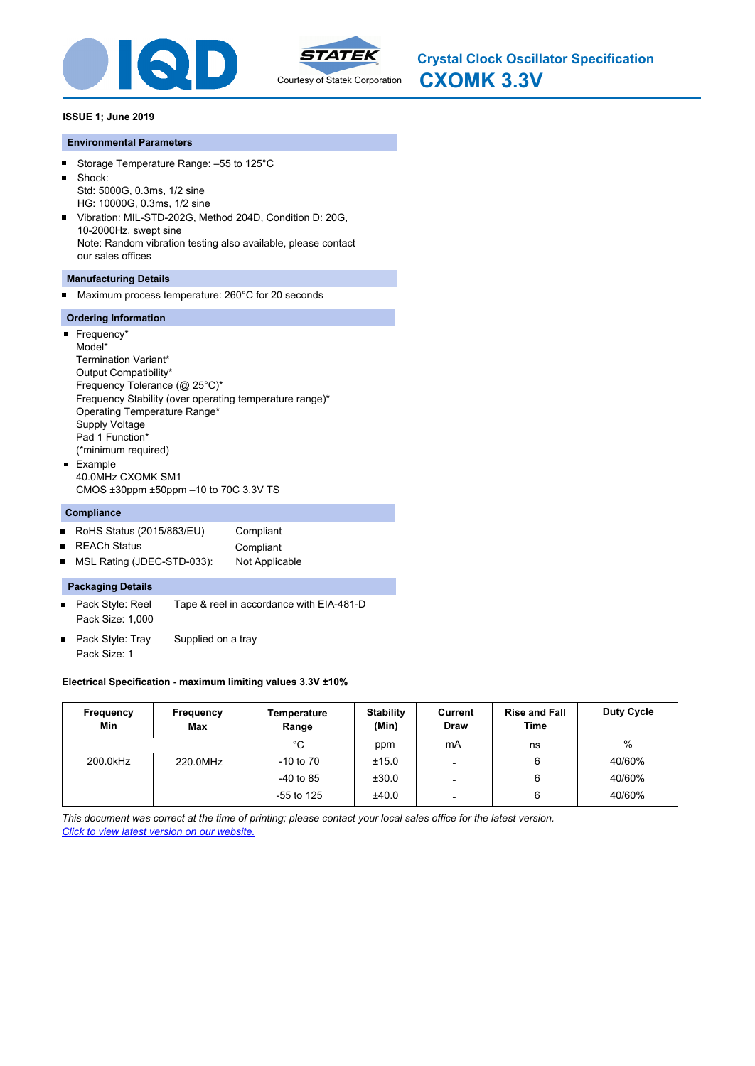



#### **Environmental Parameters**

- Storage Temperature Range: –55 to 125°C  $\blacksquare$
- $\blacksquare$ Shock: Std: 5000G, 0.3ms, 1/2 sine
- HG: 10000G, 0.3ms, 1/2 sine
- Vibration: MIL-STD-202G, Method 204D, Condition D: 20G,  $\blacksquare$ 10-2000Hz, swept sine Note: Random vibration testing also available, please contact our sales offices

## **Manufacturing Details**

Maximum process temperature: 260°C for 20 seconds

#### **Ordering Information**

 $\blacksquare$ 

| Frequency*                                              |  |
|---------------------------------------------------------|--|
| Model*                                                  |  |
| Termination Variant*                                    |  |
| Output Compatibility*                                   |  |
| Frequency Tolerance (@ 25°C)*                           |  |
| Frequency Stability (over operating temperature range)* |  |
| Operating Temperature Range*                            |  |
| Supply Voltage                                          |  |
| Pad 1 Function*                                         |  |
| (*minimum required)                                     |  |
| Example                                                 |  |
| 40 0MHz CXOMK SM1                                       |  |
| CMOS $\pm 30$ ppm $\pm 50$ ppm $-10$ to 70C 3.3V TS     |  |

## **Compliance**

- RoHS Status (2015/863/EU) Compliant
- REACh Status **Compliant**  $\blacksquare$
- $\blacksquare$ MSL Rating (JDEC-STD-033): Not Applicable

#### **Packaging Details**

- Pack Style: Reel Tape & reel in accordance with EIA-481-D Pack Size: 1,000
- Pack Style: Tray Supplied on a tray  $\blacksquare$ Pack Size: 1

## **Electrical Specification - maximum limiting values 3.3V ±10%**

| Frequency<br>Min | Frequency<br>Max | Temperature<br>Range | <b>Stability</b><br>(Min) | Current<br><b>Draw</b>   | <b>Rise and Fall</b><br><b>Time</b> | <b>Duty Cycle</b> |
|------------------|------------------|----------------------|---------------------------|--------------------------|-------------------------------------|-------------------|
|                  |                  | °C                   | ppm                       | mA                       | ns                                  | $\%$              |
| 200.0kHz         | 220.0MHz         | $-10$ to $70$        | ±15.0                     |                          | 6                                   | 40/60%            |
|                  |                  | $-40$ to 85          | ±30.0                     | -                        | 6                                   | 40/60%            |
|                  |                  | $-55$ to 125         | ±40.0                     | $\overline{\phantom{a}}$ | 6                                   | 40/60%            |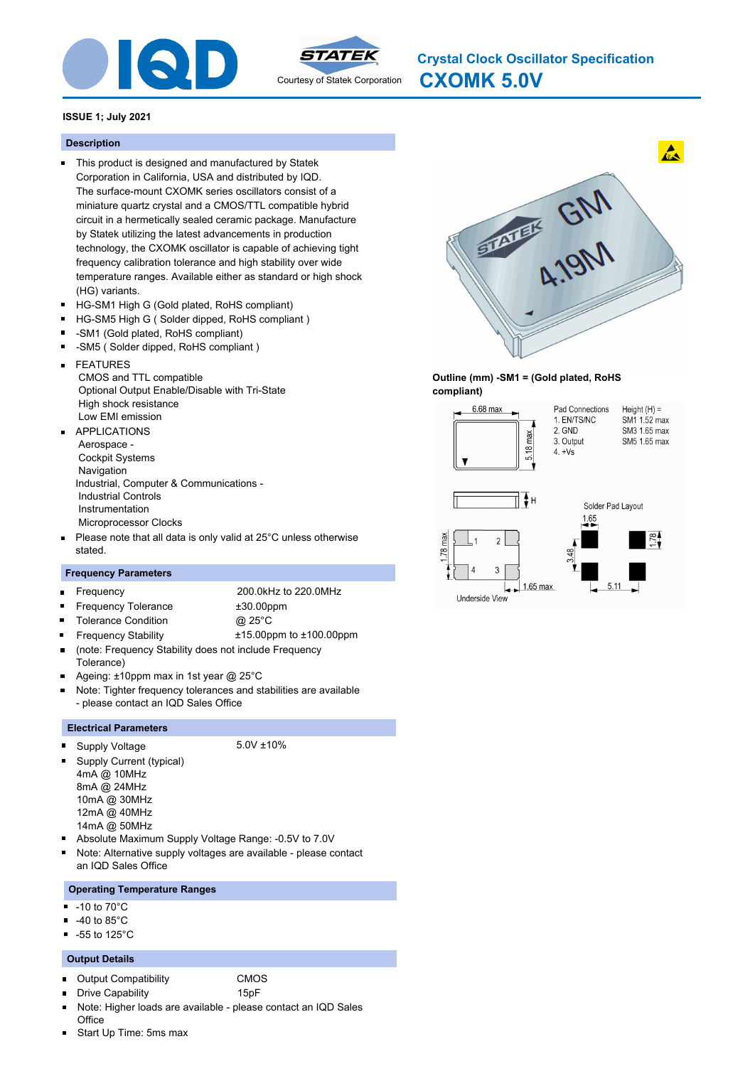



**CXOMK 5.0V Crystal Clock Oscillator Specification**

# **ISSUE 1; July 2021**

# **Description**

- This product is designed and manufactured by Statek Corporation in California, USA and distributed by IQD. The surface-mount CXOMK series oscillators consist of a miniature quartz crystal and a CMOS/TTL compatible hybrid circuit in a hermetically sealed ceramic package. Manufacture by Statek utilizing the latest advancements in production technology, the CXOMK oscillator is capable of achieving tight frequency calibration tolerance and high stability over wide temperature ranges. Available either as standard or high shock (HG) variants.
- HG-SM1 High G (Gold plated, RoHS compliant)  $\blacksquare$
- $\blacksquare$ HG-SM5 High G ( Solder dipped, RoHS compliant )
- -SM1 (Gold plated, RoHS compliant)
- -SM5 ( Solder dipped, RoHS compliant )
- FEATURES  $\blacksquare$  CMOS and TTL compatible Optional Output Enable/Disable with Tri-State High shock resistance Low EMI emission
- APPLICATIONS  $\blacksquare$  Aerospace - Cockpit Systems Navigation Industrial, Computer & Communications - Industrial Controls Instrumentation Microprocessor Clocks
- Please note that all data is only valid at 25°C unless otherwise stated.

# **Frequency Parameters**

- $\blacksquare$
- Frequency 200.0kHz to 220.0MHz
- Frequency Tolerance  $\pm 30.00$ ppm  $\blacksquare$ 
	-
- Frequency Stability ±15.00ppm to ±100.00ppm
- Tolerance Condition **@** 25°C
- (note: Frequency Stability does not include Frequency Tolerance)
- Ageing: ±10ppm max in 1st year @ 25°C
- Note: Tighter frequency tolerances and stabilities are available - please contact an IQD Sales Office

## **Electrical Parameters**

Supply Voltage 5.0V ±10% n

- Supply Current (typical) 4mA @ 10MHz 8mA @ 24MHz 10mA @ 30MHz 12mA @ 40MHz 14mA @ 50MHz
- Absolute Maximum Supply Voltage Range: -0.5V to 7.0V
- Note: Alternative supply voltages are available please contact an IQD Sales Office

## **Operating Temperature Ranges**

- -10 to 70°C
- -40 to 85°C
- -55 to 125°C П

## **Output Details**

- $\blacksquare$ Output Compatibility CMOS
- $\blacksquare$ Drive Capability 15pF
- Note: Higher loads are available please contact an IQD Sales **Office**
- Start Up Time: 5ms max



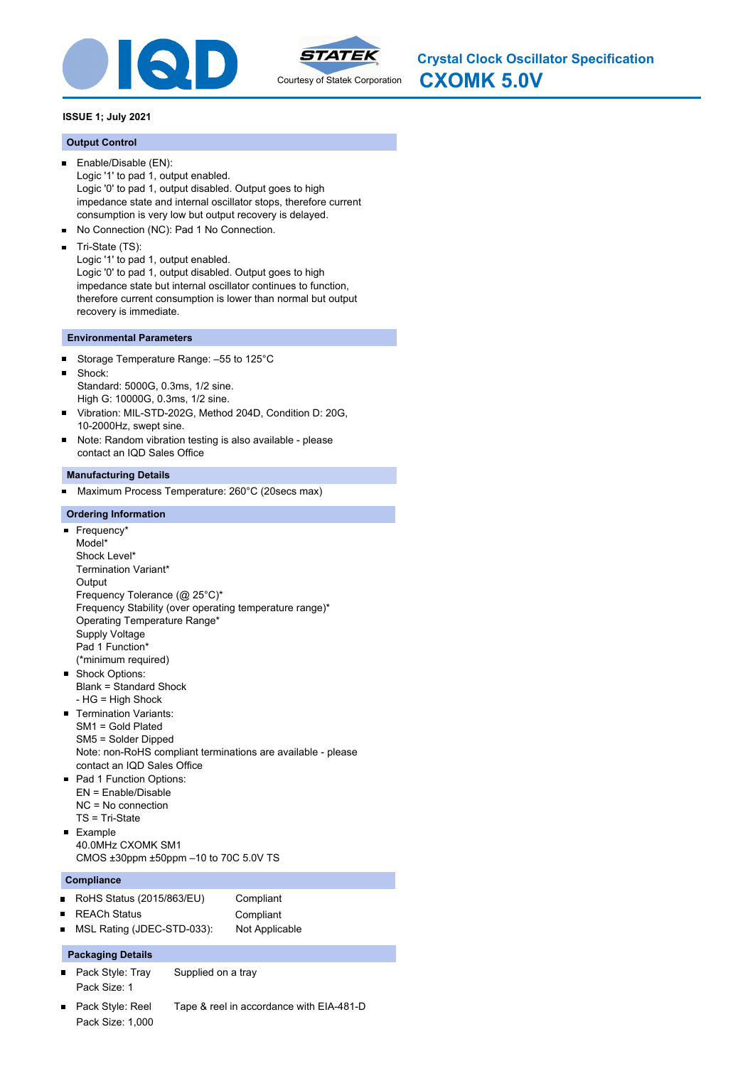



# **ISSUE 1; July 2021**

## **Output Control**

- Enable/Disable (EN):  $\blacksquare$ Logic '1' to pad 1, output enabled. Logic '0' to pad 1, output disabled. Output goes to high impedance state and internal oscillator stops, therefore current consumption is very low but output recovery is delayed.
- No Connection (NC): Pad 1 No Connection.  $\blacksquare$
- $\blacksquare$ Tri-State (TS):
- Logic '1' to pad 1, output enabled.

Logic '0' to pad 1, output disabled. Output goes to high impedance state but internal oscillator continues to function, therefore current consumption is lower than normal but output recovery is immediate.

## **Environmental Parameters**

- $\blacksquare$ Storage Temperature Range: –55 to 125°C
- $\blacksquare$ Shock: Standard: 5000G, 0.3ms, 1/2 sine. High G: 10000G, 0.3ms, 1/2 sine.
- $\blacksquare$ Vibration: MIL-STD-202G, Method 204D, Condition D: 20G, 10-2000Hz, swept sine.
- $\blacksquare$ Note: Random vibration testing is also available - please contact an IQD Sales Office

#### **Manufacturing Details**

Maximum Process Temperature: 260°C (20secs max)

## **Ordering Information**

- Frequency\* Model\* Shock Level\* Termination Variant\* **Output** Frequency Tolerance (@ 25°C)\* Frequency Stability (over operating temperature range)\* Operating Temperature Range\* Supply Voltage Pad 1 Function\* (\*minimum required) **Shock Options:** Blank = Standard Shock - HG = High Shock **Termination Variants:** SM1 = Gold Plated SM5 = Solder Dipped Note: non-RoHS compliant terminations are available - please contact an IQD Sales Office Pad 1 Function Options: EN = Enable/Disable
- NC = No connection TS = Tri-State
- **Example** 40.0MHz CXOMK SM1 CMOS ±30ppm ±50ppm –10 to 70C 5.0V TS

#### **Compliance**

| RoHS Status (2015/863/EU) | Compliant |
|---------------------------|-----------|
| <b>REACh Status</b>       | Compliant |

MSL Rating (JDEC-STD-033): Not Applicable  $\blacksquare$ 

## **Packaging Details**

- $\blacksquare$ Pack Style: Tray Supplied on a tray Pack Size: 1
- Pack Style: Reel Tape & reel in accordance with EIA-481-D Pack Size: 1,000